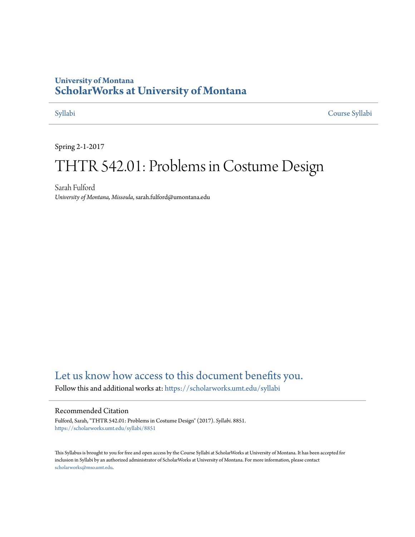## **University of Montana [ScholarWorks at University of Montana](https://scholarworks.umt.edu?utm_source=scholarworks.umt.edu%2Fsyllabi%2F8851&utm_medium=PDF&utm_campaign=PDFCoverPages)**

[Syllabi](https://scholarworks.umt.edu/syllabi?utm_source=scholarworks.umt.edu%2Fsyllabi%2F8851&utm_medium=PDF&utm_campaign=PDFCoverPages) [Course Syllabi](https://scholarworks.umt.edu/course_syllabi?utm_source=scholarworks.umt.edu%2Fsyllabi%2F8851&utm_medium=PDF&utm_campaign=PDFCoverPages)

Spring 2-1-2017

# THTR 542.01: Problems in Costume Design

Sarah Fulford *University of Montana, Missoula*, sarah.fulford@umontana.edu

# [Let us know how access to this document benefits you.](https://goo.gl/forms/s2rGfXOLzz71qgsB2)

Follow this and additional works at: [https://scholarworks.umt.edu/syllabi](https://scholarworks.umt.edu/syllabi?utm_source=scholarworks.umt.edu%2Fsyllabi%2F8851&utm_medium=PDF&utm_campaign=PDFCoverPages)

#### Recommended Citation

Fulford, Sarah, "THTR 542.01: Problems in Costume Design" (2017). *Syllabi*. 8851. [https://scholarworks.umt.edu/syllabi/8851](https://scholarworks.umt.edu/syllabi/8851?utm_source=scholarworks.umt.edu%2Fsyllabi%2F8851&utm_medium=PDF&utm_campaign=PDFCoverPages)

This Syllabus is brought to you for free and open access by the Course Syllabi at ScholarWorks at University of Montana. It has been accepted for inclusion in Syllabi by an authorized administrator of ScholarWorks at University of Montana. For more information, please contact [scholarworks@mso.umt.edu](mailto:scholarworks@mso.umt.edu).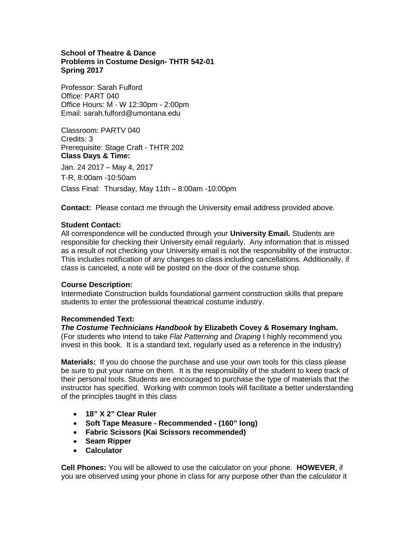### **School of Theatre & Dance Problems in Costume Design- THTR 542-01 Spring 2017**

Professor: Sarah Fulford Office: PART 040 Office Hours: M - W 12:30pm - 2:00pm Email: sarah.fulford@umontana.edu

Classroom: PARTV 040 Credits: 3 Prerequisite: Stage Craft - THTR 202 **Class Days & Time:** 

Jan. 24 2017 – May 4, 2017 T-R, 8:00am -10:50am

Class Final: Thursday, May 11th – 8:00am -10:00pm

**Contact:** Please contact me through the University email address provided above.

#### **Student Contact:**

All correspondence will be conducted through your **University Email.** Students are responsible for checking their University email regularly. Any information that is missed as a result of not checking your University email is not the responsibility of the instructor. This includes notification of any changes to class including cancellations. Additionally, if class is canceled, a note will be posted on the door of the costume shop.

### **Course Description:**

Intermediate Construction builds foundational garment construction skills that prepare students to enter the professional theatrical costume industry.

### **Recommended Text:**

*The Costume Technicians Handbook* **by Elizabeth Covey & Rosemary Ingham.**  (For students who intend to take *Flat Patterning* and *Draping* I highly recommend you invest in this book. It is a standard text, regularly used as a reference in the industry)

**Materials:** If you do choose the purchase and use your own tools for this class please be sure to put your name on them. It is the responsibility of the student to keep track of their personal tools. Students are encouraged to purchase the type of materials that the instructor has specified. Working with common tools will facilitate a better understanding of the principles taught in this class

- **18" X 2" Clear Ruler**
- **Soft Tape Measure Recommended (160" long)**
- **Fabric Scissors (Kai Scissors recommended)**
- **Seam Ripper**
- **Calculator**

**Cell Phones:** You will be allowed to use the calculator on your phone. **HOWEVER**, if you are observed using your phone in class for any purpose other than the calculator it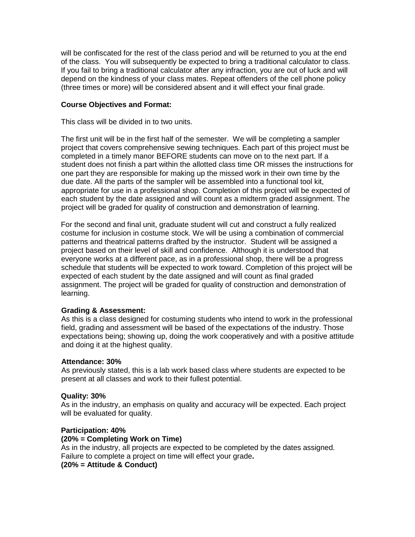will be confiscated for the rest of the class period and will be returned to you at the end of the class. You will subsequently be expected to bring a traditional calculator to class. If you fail to bring a traditional calculator after any infraction, you are out of luck and will depend on the kindness of your class mates. Repeat offenders of the cell phone policy (three times or more) will be considered absent and it will effect your final grade.

#### **Course Objectives and Format:**

This class will be divided in to two units.

The first unit will be in the first half of the semester. We will be completing a sampler project that covers comprehensive sewing techniques. Each part of this project must be completed in a timely manor BEFORE students can move on to the next part. If a student does not finish a part within the allotted class time OR misses the instructions for one part they are responsible for making up the missed work in their own time by the due date. All the parts of the sampler will be assembled into a functional tool kit, appropriate for use in a professional shop. Completion of this project will be expected of each student by the date assigned and will count as a midterm graded assignment. The project will be graded for quality of construction and demonstration of learning.

For the second and final unit, graduate student will cut and construct a fully realized costume for inclusion in costume stock. We will be using a combination of commercial patterns and theatrical patterns drafted by the instructor. Student will be assigned a project based on their level of skill and confidence. Although it is understood that everyone works at a different pace, as in a professional shop, there will be a progress schedule that students will be expected to work toward. Completion of this project will be expected of each student by the date assigned and will count as final graded assignment. The project will be graded for quality of construction and demonstration of learning.

#### **Grading & Assessment:**

As this is a class designed for costuming students who intend to work in the professional field, grading and assessment will be based of the expectations of the industry. Those expectations being; showing up, doing the work cooperatively and with a positive attitude and doing it at the highest quality.

#### **Attendance: 30%**

As previously stated, this is a lab work based class where students are expected to be present at all classes and work to their fullest potential.

### **Quality: 30%**

As in the industry, an emphasis on quality and accuracy will be expected. Each project will be evaluated for quality.

#### **Participation: 40%**

#### **(20% = Completing Work on Time)**

As in the industry, all projects are expected to be completed by the dates assigned. Failure to complete a project on time will effect your grade**.** 

**(20% = Attitude & Conduct)**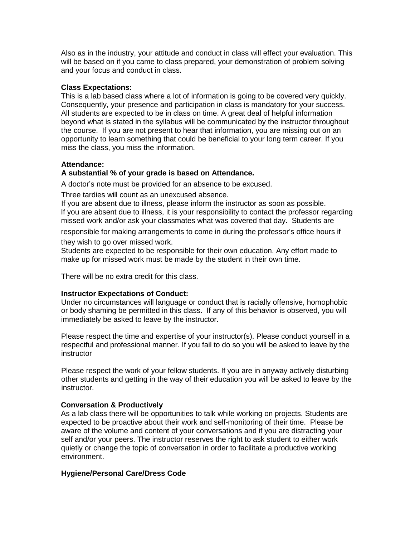Also as in the industry, your attitude and conduct in class will effect your evaluation. This will be based on if you came to class prepared, your demonstration of problem solving and your focus and conduct in class.

#### **Class Expectations:**

This is a lab based class where a lot of information is going to be covered very quickly. Consequently, your presence and participation in class is mandatory for your success. All students are expected to be in class on time. A great deal of helpful information beyond what is stated in the syllabus will be communicated by the instructor throughout the course. If you are not present to hear that information, you are missing out on an opportunity to learn something that could be beneficial to your long term career. If you miss the class, you miss the information.

#### **Attendance:**

#### **A substantial % of your grade is based on Attendance.**

A doctor's note must be provided for an absence to be excused.

Three tardies will count as an unexcused absence.

If you are absent due to illness, please inform the instructor as soon as possible. If you are absent due to illness, it is your responsibility to contact the professor regarding missed work and/or ask your classmates what was covered that day. Students are

responsible for making arrangements to come in during the professor's office hours if

they wish to go over missed work.

Students are expected to be responsible for their own education. Any effort made to make up for missed work must be made by the student in their own time.

There will be no extra credit for this class.

#### **Instructor Expectations of Conduct:**

Under no circumstances will language or conduct that is racially offensive, homophobic or body shaming be permitted in this class. If any of this behavior is observed, you will immediately be asked to leave by the instructor.

Please respect the time and expertise of your instructor(s). Please conduct yourself in a respectful and professional manner. If you fail to do so you will be asked to leave by the instructor

Please respect the work of your fellow students. If you are in anyway actively disturbing other students and getting in the way of their education you will be asked to leave by the instructor.

#### **Conversation & Productively**

As a lab class there will be opportunities to talk while working on projects. Students are expected to be proactive about their work and self-monitoring of their time. Please be aware of the volume and content of your conversations and if you are distracting your self and/or your peers. The instructor reserves the right to ask student to either work quietly or change the topic of conversation in order to facilitate a productive working environment.

#### **Hygiene/Personal Care/Dress Code**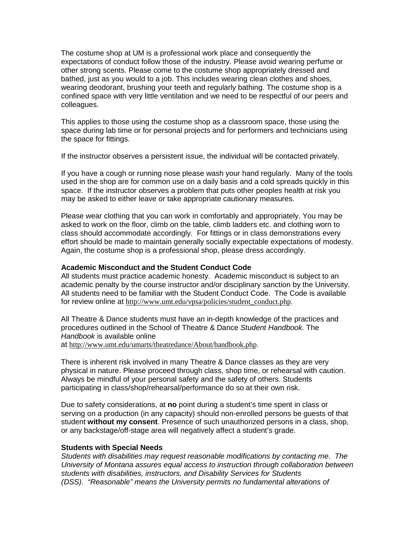The costume shop at UM is a professional work place and consequently the expectations of conduct follow those of the industry. Please avoid wearing perfume or other strong scents. Please come to the costume shop appropriately dressed and bathed, just as you would to a job. This includes wearing clean clothes and shoes, wearing deodorant, brushing your teeth and regularly bathing. The costume shop is a confined space with very little ventilation and we need to be respectful of our peers and colleagues.

This applies to those using the costume shop as a classroom space, those using the space during lab time or for personal projects and for performers and technicians using the space for fittings.

If the instructor observes a persistent issue, the individual will be contacted privately.

If you have a cough or running nose please wash your hand regularly. Many of the tools used in the shop are for common use on a daily basis and a cold spreads quickly in this space. If the instructor observes a problem that puts other peoples health at risk you may be asked to either leave or take appropriate cautionary measures.

Please wear clothing that you can work in comfortably and appropriately. You may be asked to work on the floor, climb on the table, climb ladders etc. and clothing worn to class should accommodate accordingly. For fittings or in class demonstrations every effort should be made to maintain generally socially expectable expectations of modesty. Again, the costume shop is a professional shop, please dress accordingly.

#### **Academic Misconduct and the Student Conduct Code**

All students must practice academic honesty. Academic misconduct is subject to an academic penalty by the course instructor and/or disciplinary sanction by the University. All students need to be familiar with the Student Conduct Code. The Code is available for review online at [http://www.umt.edu/vpsa/policies/student\\_conduct.php](http://www.umt.edu/vpsa/policies/student_conduct.php).

All Theatre & Dance students must have an in-depth knowledge of the practices and procedures outlined in the School of Theatre & Dance *Student Handbook.* The *Handbook* is available online at <http://www.umt.edu/umarts/theatredance/About/handbook.php>.

There is inherent risk involved in many Theatre & Dance classes as they are very physical in nature. Please proceed through class, shop time, or rehearsal with caution. Always be mindful of your personal safety and the safety of others. Students participating in class/shop/rehearsal/performance do so at their own risk.

Due to safety considerations, at **no** point during a student's time spent in class or serving on a production (in any capacity) should non-enrolled persons be guests of that student **without my consent**. Presence of such unauthorized persons in a class, shop, or any backstage/off-stage area will negatively affect a student's grade.

#### **Students with Special Needs**

*Students with disabilities may request reasonable modifications by contacting me. The University of Montana assures equal access to instruction through collaboration between students with disabilities, instructors, and Disability Services for Students (DSS). "Reasonable" means the University permits no fundamental alterations of*